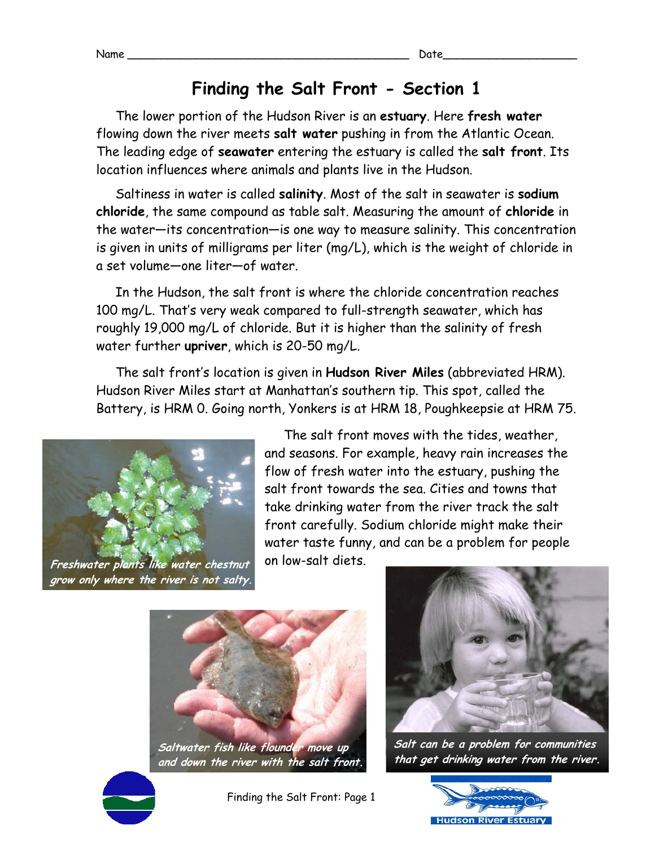## **Finding the Salt Front - Section 1**

The lower portion of the Hudson River is an **estuary**. Here **fresh water** flowing down the river meets **salt water** pushing in from the Atlantic Ocean. The leading edge of **seawater** entering the estuary is called the **salt front**. Its location influences where animals and plants live in the Hudson.

Saltiness in water is called **salinity**. Most of the salt in seawater is **sodium chloride**, the same compound as table salt. Measuring the amount of **chloride** in the water—its concentration—is one way to measure salinity. This concentration is given in units of milligrams per liter (mg/L), which is the weight of chloride in a set volume—one liter—of water.

In the Hudson, the salt front is where the chloride concentration reaches 100 mg/L. That's very weak compared to full-strength seawater, which has roughly 19,000 mg/L of chloride. But it is higher than the salinity of fresh water further **upriver**, which is 20-50 mg/L.

The salt front's location is given in **Hudson River Miles** (abbreviated HRM). Hudson River Miles start at Manhattan's southern tip. This spot, called the Battery, is HRM 0. Going north, Yonkers is at HRM 18, Poughkeepsie at HRM 75.



The salt front moves with the tides, weather, and seasons. For example, heavy rain increases the flow of fresh water into the estuary, pushing the salt front towards the sea. Cities and towns that take drinking water from the river track the salt front carefully. Sodium chloride might make their water taste funny, and can be a problem for people on low-salt diets.



**Saltwater fish like flounder move up and down the river with the salt front.**



Finding the Salt Front: Page 1



**Salt can be a problem for communities that get drinking water from the river.**

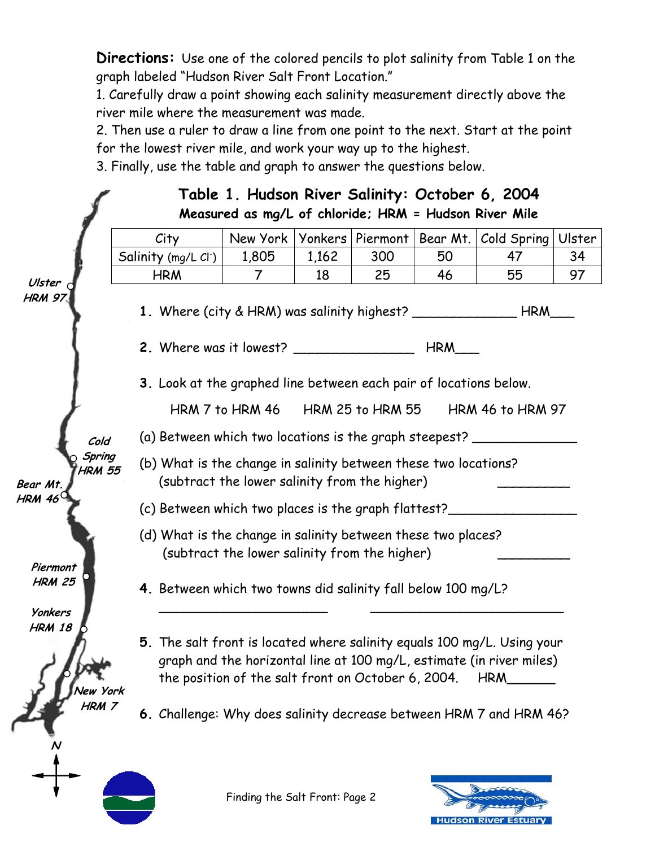**Directions:** Use one of the colored pencils to plot salinity from Table 1 on the graph labeled "Hudson River Salt Front Location."

1. Carefully draw a point showing each salinity measurement directly above the river mile where the measurement was made.

2. Then use a ruler to draw a line from one point to the next. Start at the point for the lowest river mile, and work your way up to the highest.

3. Finally, use the table and graph to answer the questions below.



Finding the Salt Front: Page 2

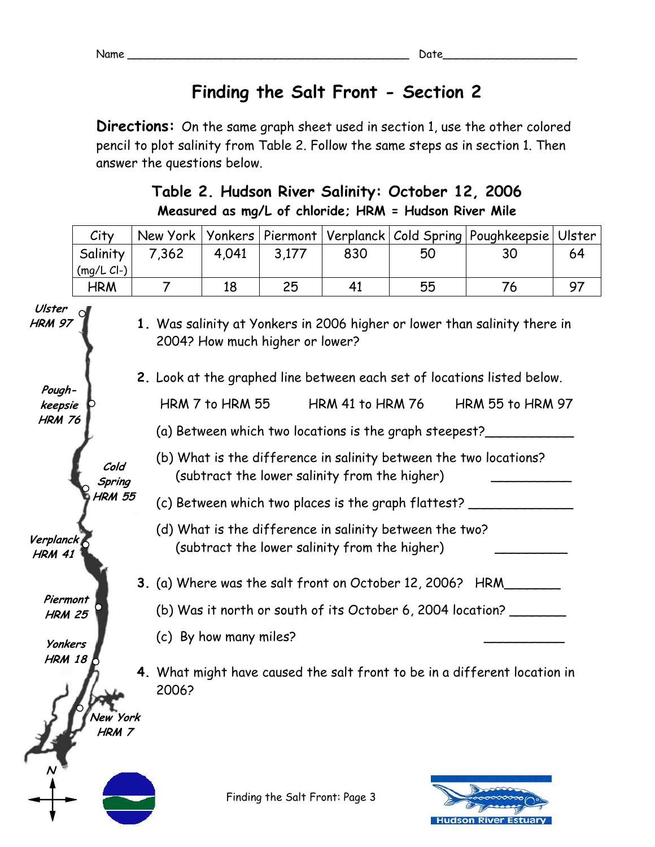**Hudson River Estuary** 

## **Finding the Salt Front - Section 2**

**Directions:** On the same graph sheet used in section 1, use the other colored pencil to plot salinity from Table 2. Follow the same steps as in section 1. Then answer the questions below.

## **Table 2. Hudson River Salinity: October 12, 2006 Measured as mg/L of chloride; HRM = Hudson River Mile**

|                                    | City                  | New York                                                                                                           | Yonkers | Piermont                       | Verplanck | Cold Spring | Poughkeepsie                                                              | Ulster |  |
|------------------------------------|-----------------------|--------------------------------------------------------------------------------------------------------------------|---------|--------------------------------|-----------|-------------|---------------------------------------------------------------------------|--------|--|
|                                    | Salinity<br>(mg/L CL) | 7,362                                                                                                              | 4,041   | 3,177                          | 830       | 50          | 30                                                                        | 64     |  |
|                                    | <b>HRM</b>            | $\overline{7}$                                                                                                     | 18      | 25                             | 41        | 55          | 76                                                                        | 97     |  |
| Ulster<br><b>HRM 97</b>            |                       | 1. Was salinity at Yonkers in 2006 higher or lower than salinity there in<br>2004? How much higher or lower?       |         |                                |           |             |                                                                           |        |  |
|                                    |                       | 2. Look at the graphed line between each set of locations listed below.                                            |         |                                |           |             |                                                                           |        |  |
| Pough-<br>keepsie<br><b>HRM 76</b> |                       | HRM 7 to HRM 55<br><b>HRM 41 to HRM 76</b><br><b>HRM 55 to HRM 97</b>                                              |         |                                |           |             |                                                                           |        |  |
|                                    |                       | (a) Between which two locations is the graph steepest?                                                             |         |                                |           |             |                                                                           |        |  |
|                                    | Cold<br>Spring        | (b) What is the difference in salinity between the two locations?<br>(subtract the lower salinity from the higher) |         |                                |           |             |                                                                           |        |  |
|                                    | <b>HRM 55</b>         | (c) Between which two places is the graph flattest?                                                                |         |                                |           |             |                                                                           |        |  |
| Verplanck<br><b>HRM 41</b>         |                       | (d) What is the difference in salinity between the two?<br>(subtract the lower salinity from the higher)           |         |                                |           |             |                                                                           |        |  |
|                                    |                       | 3. (a) Where was the salt front on October 12, 2006? HRM                                                           |         |                                |           |             |                                                                           |        |  |
| Piermont<br><b>HRM 25</b>          |                       | (b) Was it north or south of its October 6, 2004 location?                                                         |         |                                |           |             |                                                                           |        |  |
| <b>Yonkers</b>                     |                       | (c) By how many miles?                                                                                             |         |                                |           |             |                                                                           |        |  |
| <b>HRM 18</b>                      | New York<br>HRM 7     | 2006?                                                                                                              |         |                                |           |             | 4. What might have caused the salt front to be in a different location in |        |  |
|                                    |                       |                                                                                                                    |         | Finding the Salt Front: Page 3 |           |             |                                                                           |        |  |